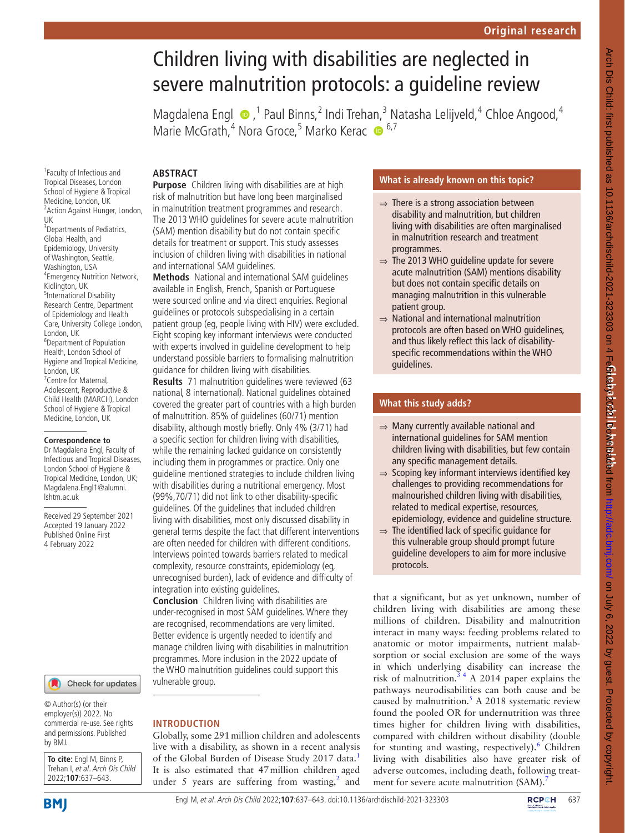# Children living with disabilities are neglected in severe malnutrition protocols: a guideline review

MagdalenaEngl  $\bullet$ , <sup>1</sup> Paul Binns, <sup>2</sup> Indi Trehan, <sup>3</sup> Natasha Lelijveld, <sup>4</sup> Chloe Angood, <sup>4</sup> Marie McGrath,<sup>4</sup> Nora Groce,<sup>5</sup> Marko Kerac <sup>6,7</sup>

# **ABSTRACT**

Tropical Diseases, London School of Hygiene & Tropical Medicine, London, UK <sup>2</sup> Action Against Hunger, London, UK <sup>3</sup>Departments of Pediatrics, Global Health, and Epidemiology, University of Washington, Seattle, Washington, USA 4 Emergency Nutrition Network, Kidlington, UK 5 International Disability Research Centre, Department of Epidemiology and Health Care, University College London, London, UK 6 Department of Population Health, London School of Hygiene and Tropical Medicine, London, UK <sup>7</sup> Centre for Maternal, Adolescent, Reproductive & Child Health (MARCH), London School of Hygiene & Tropical Medicine, London, UK

1 Faculty of Infectious and

#### **Correspondence to**

Dr Magdalena Engl, Faculty of Infectious and Tropical Diseases, London School of Hygiene & Tropical Medicine, London, UK; Magdalena.Engl1@alumni. lshtm.ac.uk

Received 29 September 2021 Accepted 19 January 2022 Published Online First 4 February 2022

Check for updates

© Author(s) (or their employer(s)) 2022. No commercial re-use. See rights and permissions. Published by BMJ.

**To cite:** Engl M, Binns P, Trehan I, et al. Arch Dis Child 2022;**107**:637–643.

**BMI** 

**Purpose** Children living with disabilities are at high risk of malnutrition but have long been marginalised in malnutrition treatment programmes and research. The 2013 WHO guidelines for severe acute malnutrition (SAM) mention disability but do not contain specific details for treatment or support. This study assesses inclusion of children living with disabilities in national and international SAM guidelines.

**Methods** National and international SAM guidelines available in English, French, Spanish or Portuguese were sourced online and via direct enquiries. Regional guidelines or protocols subspecialising in a certain patient group (eg, people living with HIV) were excluded. Eight scoping key informant interviews were conducted with experts involved in guideline development to help understand possible barriers to formalising malnutrition guidance for children living with disabilities.

**Results** 71 malnutrition guidelines were reviewed (63 national, 8 international). National guidelines obtained covered the greater part of countries with a high burden of malnutrition. 85% of guidelines (60/71) mention disability, although mostly briefly. Only 4% (3/71) had a specific section for children living with disabilities, while the remaining lacked guidance on consistently including them in programmes or practice. Only one guideline mentioned strategies to include children living with disabilities during a nutritional emergency. Most (99%,70/71) did not link to other disability-specific guidelines. Of the guidelines that included children living with disabilities, most only discussed disability in general terms despite the fact that different interventions are often needed for children with different conditions. Interviews pointed towards barriers related to medical complexity, resource constraints, epidemiology (eg, unrecognised burden), lack of evidence and difficulty of integration into existing guidelines.

**Conclusion** Children living with disabilities are under-recognised in most SAM guidelines. Where they are recognised, recommendations are very limited. Better evidence is urgently needed to identify and manage children living with disabilities in malnutrition programmes. More inclusion in the 2022 update of the WHO malnutrition guidelines could support this vulnerable group.

# **INTRODUCTION**

Globally, some 291million children and adolescents live with a disability, as shown in a recent analysis of the Global Burden of Disease Study 20[1](#page-5-0)7 data.<sup>1</sup> It is also estimated that 47million children aged under 5 years are suffering from wasting,<sup>2</sup> and

# **What is already known on this topic?**

- $\Rightarrow$  There is a strong association between disability and malnutrition, but children living with disabilities are often marginalised in malnutrition research and treatment programmes.
- $\Rightarrow$  The 2013 WHO quideline update for severe acute malnutrition (SAM) mentions disability but does not contain specific details on managing malnutrition in this vulnerable patient group.
- ⇒ National and international malnutrition protocols are often based on WHO guidelines, and thus likely reflect this lack of disabilityspecific recommendations within the WHO guidelines.

# **What this study adds?**

- ⇒ Many currently available national and international guidelines for SAM mention children living with disabilities, but few contain any specific management details.
- ⇒ Scoping key informant interviews identified key challenges to providing recommendations for malnourished children living with disabilities, related to medical expertise, resources, epidemiology, evidence and guideline structure.
- $\Rightarrow$  The identified lack of specific quidance for this vulnerable group should prompt future guideline developers to aim for more inclusive protocols.

that a significant, but as yet unknown, number of children living with disabilities are among these millions of children. Disability and malnutrition interact in many ways: feeding problems related to anatomic or motor impairments, nutrient malabsorption or social exclusion are some of the ways in which underlying disability can increase the risk of malnutrition. $3^4$  A 2014 paper explains the pathways neurodisabilities can both cause and be caused by malnutrition.<sup>5</sup> A 2018 systematic review found the pooled OR for undernutrition was three times higher for children living with disabilities, compared with children without disability (double for stunting and wasting, respectively).<sup>[6](#page-5-4)</sup> Children living with disabilities also have greater risk of adverse outcomes, including death, following treat-ment for severe acute malnutrition (SAM).<sup>[7](#page-5-5)</sup>

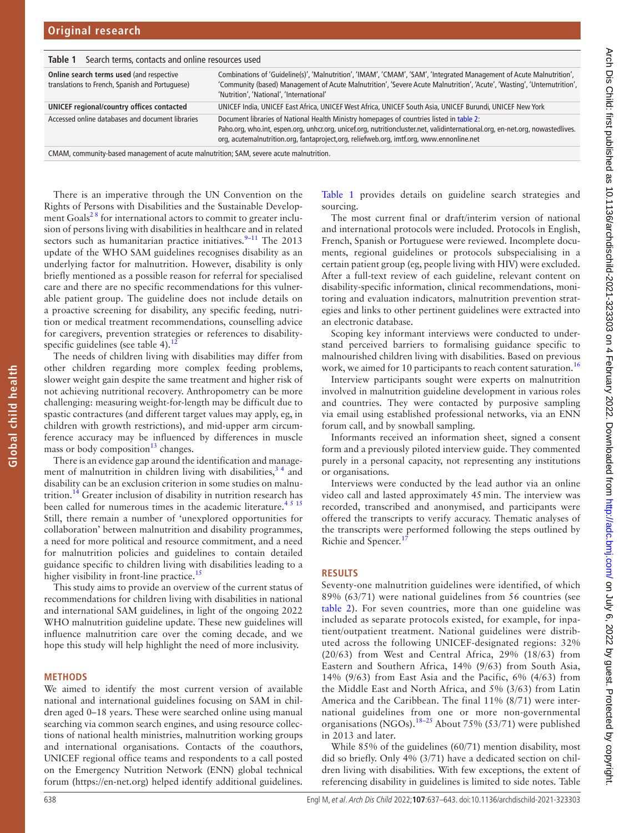<span id="page-1-0"></span>

| Search terms, contacts and online resources used<br>Table 1                                 |                                                                                                                                                                                                                                                                                                                       |  |  |
|---------------------------------------------------------------------------------------------|-----------------------------------------------------------------------------------------------------------------------------------------------------------------------------------------------------------------------------------------------------------------------------------------------------------------------|--|--|
| Online search terms used (and respective<br>translations to French, Spanish and Portuguese) | Combinations of 'Guideline(s)', 'Malnutrition', 'IMAM', 'CMAM', 'SAM', 'Integrated Management of Acute Malnutrition',<br>'Community (based) Management of Acute Malnutrition', 'Severe Acute Malnutrition', 'Acute', 'Wasting', 'Unternutrition',<br>'Nutrition', 'National', 'International'                         |  |  |
| UNICEF regional/country offices contacted                                                   | UNICEF India, UNICEF East Africa, UNICEF West Africa, UNICEF South Asia, UNICEF Burundi, UNICEF New York                                                                                                                                                                                                              |  |  |
| Accessed online databases and document libraries                                            | Document libraries of National Health Ministry homepages of countries listed in table 2:<br>Paho.org, who.int, espen.org, unhcr.org, unicef.org, nutritioncluster.net, validinternational.org, en-net.org, nowastedlives.<br>org, acutemalnutrition.org, fantaproject,org, reliefweb.org, imtf.org, www.ennonline.net |  |  |
| CMAM, community-based management of acute malnutrition: SAM, severe acute malnutrition.     |                                                                                                                                                                                                                                                                                                                       |  |  |

CMAM, community-based management of acute malnutrition; SAM, severe acute malnutrition.

There is an imperative through the UN Convention on the Rights of Persons with Disabilities and the Sustainable Development Goals<sup>28</sup> for international actors to commit to greater inclusion of persons living with disabilities in healthcare and in related sectors such as humanitarian practice initiatives.<sup>9–11</sup> The 2013 update of the WHO SAM guidelines recognises disability as an underlying factor for malnutrition. However, disability is only briefly mentioned as a possible reason for referral for specialised care and there are no specific recommendations for this vulnerable patient group. The guideline does not include details on a proactive screening for disability, any specific feeding, nutrition or medical treatment recommendations, counselling advice for caregivers, prevention strategies or references to disabilityspecific guidelines (see table 4).<sup>1</sup>

The needs of children living with disabilities may differ from other children regarding more complex feeding problems, slower weight gain despite the same treatment and higher risk of not achieving nutritional recovery. Anthropometry can be more challenging: measuring weight-for-length may be difficult due to spastic contractures (and different target values may apply, eg, in children with growth restrictions), and mid-upper arm circumference accuracy may be influenced by differences in muscle mass or body composition $13$  changes.

There is an evidence gap around the identification and management of malnutrition in children living with disabilities,  $3<sup>4</sup>$  and disability can be an exclusion criterion in some studies on malnutrition.<sup>14</sup> Greater inclusion of disability in nutrition research has been called for numerous times in the academic literature.<sup>[4 5 15](#page-5-10)</sup> Still, there remain a number of 'unexplored opportunities for collaboration' between malnutrition and disability programmes, a need for more political and resource commitment, and a need for malnutrition policies and guidelines to contain detailed guidance specific to children living with disabilities leading to a higher visibility in front-line practice.<sup>15</sup>

This study aims to provide an overview of the current status of recommendations for children living with disabilities in national and international SAM guidelines, in light of the ongoing 2022 WHO malnutrition guideline update. These new guidelines will influence malnutrition care over the coming decade, and we hope this study will help highlight the need of more inclusivity.

#### **METHODS**

**Global child health**

Global child health

We aimed to identify the most current version of available national and international guidelines focusing on SAM in children aged 0–18 years. These were searched online using manual searching via common search engines, and using resource collections of national health ministries, malnutrition working groups and international organisations. Contacts of the coauthors, UNICEF regional office teams and respondents to a call posted on the Emergency Nutrition Network (ENN) global technical forum ([https://en-net.org\)](https://en-net.org) helped identify additional guidelines.

[Table](#page-1-0) 1 provides details on guideline search strategies and sourcing.

The most current final or draft/interim version of national and international protocols were included. Protocols in English, French, Spanish or Portuguese were reviewed. Incomplete documents, regional guidelines or protocols subspecialising in a certain patient group (eg, people living with HIV) were excluded. After a full-text review of each guideline, relevant content on disability-specific information, clinical recommendations, monitoring and evaluation indicators, malnutrition prevention strategies and links to other pertinent guidelines were extracted into an electronic database.

Scoping key informant interviews were conducted to understand perceived barriers to formalising guidance specific to malnourished children living with disabilities. Based on previous work, we aimed for 10 participants to reach content saturation.<sup>[16](#page-5-12)</sup>

Interview participants sought were experts on malnutrition involved in malnutrition guideline development in various roles and countries. They were contacted by purposive sampling via email using established professional networks, via an ENN forum call, and by snowball sampling.

Informants received an information sheet, signed a consent form and a previously piloted interview guide. They commented purely in a personal capacity, not representing any institutions or organisations.

Interviews were conducted by the lead author via an online video call and lasted approximately 45min. The interview was recorded, transcribed and anonymised, and participants were offered the transcripts to verify accuracy. Thematic analyses of the transcripts were performed following the steps outlined by Richie and Spencer.<sup>1</sup>

#### **RESULTS**

Seventy-one malnutrition guidelines were identified, of which 89% (63/71) were national guidelines from 56 countries (see [table](#page-2-0) 2). For seven countries, more than one guideline was included as separate protocols existed, for example, for inpatient/outpatient treatment. National guidelines were distributed across the following UNICEF-designated regions: 32% (20/63) from West and Central Africa, 29% (18/63) from Eastern and Southern Africa, 14% (9/63) from South Asia, 14% (9/63) from East Asia and the Pacific, 6% (4/63) from the Middle East and North Africa, and 5% (3/63) from Latin America and the Caribbean. The final 11% (8/71) were international guidelines from one or more non-governmental organisations (NGOs).[18–25](#page-5-14) About 75% (53/71) were published in 2013 and later.

While 85% of the guidelines (60/71) mention disability, most did so briefly. Only 4% (3/71) have a dedicated section on children living with disabilities. With few exceptions, the extent of referencing disability in guidelines is limited to side notes. Table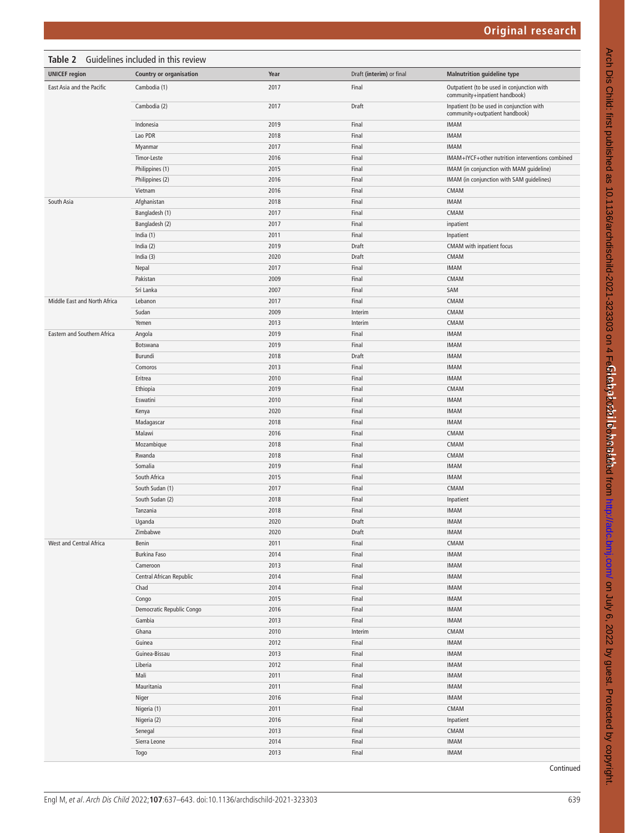<span id="page-2-0"></span>

| <b>UNICEF region</b><br><b>Country or organisation</b><br>Year<br>Draft (interim) or final<br><b>Malnutrition guideline type</b><br>East Asia and the Pacific<br>2017<br>Final<br>Outpatient (to be used in conjunction with<br>Cambodia (1)<br>community+inpatient handbook)<br>2017<br>Draft<br>Inpatient (to be used in conjunction with<br>Cambodia (2)<br>community+outpatient handbook)<br>2019<br>Final<br><b>IMAM</b><br>Indonesia<br>Lao PDR<br>2018<br>Final<br><b>IMAM</b><br>2017<br>Final<br><b>IMAM</b><br>Myanmar<br>2016<br>Final<br>IMAM+IYCF+other nutrition interventions combined<br>Timor-Leste<br>2015<br>Final<br>Philippines (1)<br>IMAM (in conjunction with MAM guideline)<br>2016<br>Final<br>Philippines (2)<br>IMAM (in conjunction with SAM guidelines)<br>Final<br>Vietnam<br>2016<br>CMAM<br>2018<br>Final<br><b>IMAM</b><br>South Asia<br>Afghanistan<br>2017<br>Final<br>CMAM<br>Bangladesh (1)<br>2017<br>Final<br>Bangladesh (2)<br>inpatient<br>Final<br>India $(1)$<br>2011<br>Inpatient<br>India $(2)$<br>2019<br>Draft<br>CMAM with inpatient focus<br>2020<br>Draft<br>CMAM<br>India $(3)$<br>2017<br>Final<br><b>IMAM</b><br>Nepal<br>Final<br>CMAM<br>Pakistan<br>2009<br>Sri Lanka<br>2007<br>Final<br>SAM<br>2017<br>Final<br>CMAM<br>Middle East and North Africa<br>Lebanon<br>2009<br>CMAM<br>Sudan<br>Interim<br>CMAM<br>Yemen<br>2013<br>Interim<br>Eastern and Southern Africa<br>2019<br>Final<br><b>IMAM</b><br>Angola<br>2019<br>Final<br><b>IMAM</b><br>Botswana<br>2018<br>Draft<br><b>IMAM</b><br>Burundi<br>Final<br><b>IMAM</b><br>Comoros<br>2013<br>2010<br>Final<br><b>IMAM</b><br>Eritrea<br>2019<br>Final<br>CMAM<br>Ethiopia<br>2010<br>Final<br><b>IMAM</b><br>Eswatini<br>2020<br>Final<br><b>IMAM</b><br>Kenya<br>2018<br>Final<br><b>IMAM</b><br>Madagascar<br>2016<br>Final<br>CMAM<br>Malawi<br>2018<br>Final<br>CMAM<br>Mozambique<br>Final<br>Rwanda<br>2018<br>CMAM<br>Somalia<br>2019<br>Final<br><b>IMAM</b><br>2015<br>Final<br><b>IMAM</b><br>South Africa<br>2017<br>Final<br>CMAM<br>South Sudan (1)<br>Final<br>South Sudan (2)<br>2018<br>Inpatient<br>2018<br>Final<br><b>IMAM</b><br>Tanzania<br>2020<br>Draft<br><b>IMAM</b><br>Uganda<br>2020<br>Draft<br>Zimbabwe<br><b>IMAM</b><br>Benin<br>2011<br>Final<br>CMAM<br>West and Central Africa<br><b>Burkina Faso</b><br>2014<br>Final<br><b>IMAM</b><br>2013<br>Final<br>IMAM<br>Cameroon<br>Central African Republic<br>2014<br>Final<br>IMAM<br>2014<br>Final<br><b>IMAM</b><br>Chad<br>2015<br>Final<br><b>IMAM</b><br>Congo<br>Democratic Republic Congo<br>2016<br>Final<br><b>IMAM</b><br>Gambia<br>2013<br>Final<br><b>IMAM</b><br>2010<br>CMAM<br>Ghana<br>Interim<br>2012<br>Final<br><b>IMAM</b><br>Guinea<br>2013<br>Final<br><b>IMAM</b><br>Guinea-Bissau<br>Liberia<br>2012<br>Final<br><b>IMAM</b><br>Mali<br>2011<br>Final<br><b>IMAM</b><br>Mauritania<br>2011<br>Final<br><b>IMAM</b><br>2016<br>Final<br><b>IMAM</b><br>Niger<br>Nigeria (1)<br>2011<br>Final<br>$\mathsf{CMAM}$<br>Final<br>Nigeria (2)<br>2016<br>Inpatient<br>Senegal<br>2013<br>Final<br>CMAM<br>Sierra Leone<br>2014<br>Final<br>IMAM<br>2013<br>Final<br><b>IMAM</b><br>Togo | Table 2 Guidelines included in this review |  |  |  |  |
|-------------------------------------------------------------------------------------------------------------------------------------------------------------------------------------------------------------------------------------------------------------------------------------------------------------------------------------------------------------------------------------------------------------------------------------------------------------------------------------------------------------------------------------------------------------------------------------------------------------------------------------------------------------------------------------------------------------------------------------------------------------------------------------------------------------------------------------------------------------------------------------------------------------------------------------------------------------------------------------------------------------------------------------------------------------------------------------------------------------------------------------------------------------------------------------------------------------------------------------------------------------------------------------------------------------------------------------------------------------------------------------------------------------------------------------------------------------------------------------------------------------------------------------------------------------------------------------------------------------------------------------------------------------------------------------------------------------------------------------------------------------------------------------------------------------------------------------------------------------------------------------------------------------------------------------------------------------------------------------------------------------------------------------------------------------------------------------------------------------------------------------------------------------------------------------------------------------------------------------------------------------------------------------------------------------------------------------------------------------------------------------------------------------------------------------------------------------------------------------------------------------------------------------------------------------------------------------------------------------------------------------------------------------------------------------------------------------------------------------------------------------------------------------------------------------------------------------------------------------------------------------------------------------------------------------------------------------------------------------------------------------------------------------------------------------------------------------------------------------------------------------------------------------------------------------------------------------|--------------------------------------------|--|--|--|--|
|                                                                                                                                                                                                                                                                                                                                                                                                                                                                                                                                                                                                                                                                                                                                                                                                                                                                                                                                                                                                                                                                                                                                                                                                                                                                                                                                                                                                                                                                                                                                                                                                                                                                                                                                                                                                                                                                                                                                                                                                                                                                                                                                                                                                                                                                                                                                                                                                                                                                                                                                                                                                                                                                                                                                                                                                                                                                                                                                                                                                                                                                                                                                                                                                             |                                            |  |  |  |  |
|                                                                                                                                                                                                                                                                                                                                                                                                                                                                                                                                                                                                                                                                                                                                                                                                                                                                                                                                                                                                                                                                                                                                                                                                                                                                                                                                                                                                                                                                                                                                                                                                                                                                                                                                                                                                                                                                                                                                                                                                                                                                                                                                                                                                                                                                                                                                                                                                                                                                                                                                                                                                                                                                                                                                                                                                                                                                                                                                                                                                                                                                                                                                                                                                             |                                            |  |  |  |  |
|                                                                                                                                                                                                                                                                                                                                                                                                                                                                                                                                                                                                                                                                                                                                                                                                                                                                                                                                                                                                                                                                                                                                                                                                                                                                                                                                                                                                                                                                                                                                                                                                                                                                                                                                                                                                                                                                                                                                                                                                                                                                                                                                                                                                                                                                                                                                                                                                                                                                                                                                                                                                                                                                                                                                                                                                                                                                                                                                                                                                                                                                                                                                                                                                             |                                            |  |  |  |  |
|                                                                                                                                                                                                                                                                                                                                                                                                                                                                                                                                                                                                                                                                                                                                                                                                                                                                                                                                                                                                                                                                                                                                                                                                                                                                                                                                                                                                                                                                                                                                                                                                                                                                                                                                                                                                                                                                                                                                                                                                                                                                                                                                                                                                                                                                                                                                                                                                                                                                                                                                                                                                                                                                                                                                                                                                                                                                                                                                                                                                                                                                                                                                                                                                             |                                            |  |  |  |  |
|                                                                                                                                                                                                                                                                                                                                                                                                                                                                                                                                                                                                                                                                                                                                                                                                                                                                                                                                                                                                                                                                                                                                                                                                                                                                                                                                                                                                                                                                                                                                                                                                                                                                                                                                                                                                                                                                                                                                                                                                                                                                                                                                                                                                                                                                                                                                                                                                                                                                                                                                                                                                                                                                                                                                                                                                                                                                                                                                                                                                                                                                                                                                                                                                             |                                            |  |  |  |  |
|                                                                                                                                                                                                                                                                                                                                                                                                                                                                                                                                                                                                                                                                                                                                                                                                                                                                                                                                                                                                                                                                                                                                                                                                                                                                                                                                                                                                                                                                                                                                                                                                                                                                                                                                                                                                                                                                                                                                                                                                                                                                                                                                                                                                                                                                                                                                                                                                                                                                                                                                                                                                                                                                                                                                                                                                                                                                                                                                                                                                                                                                                                                                                                                                             |                                            |  |  |  |  |
|                                                                                                                                                                                                                                                                                                                                                                                                                                                                                                                                                                                                                                                                                                                                                                                                                                                                                                                                                                                                                                                                                                                                                                                                                                                                                                                                                                                                                                                                                                                                                                                                                                                                                                                                                                                                                                                                                                                                                                                                                                                                                                                                                                                                                                                                                                                                                                                                                                                                                                                                                                                                                                                                                                                                                                                                                                                                                                                                                                                                                                                                                                                                                                                                             |                                            |  |  |  |  |
|                                                                                                                                                                                                                                                                                                                                                                                                                                                                                                                                                                                                                                                                                                                                                                                                                                                                                                                                                                                                                                                                                                                                                                                                                                                                                                                                                                                                                                                                                                                                                                                                                                                                                                                                                                                                                                                                                                                                                                                                                                                                                                                                                                                                                                                                                                                                                                                                                                                                                                                                                                                                                                                                                                                                                                                                                                                                                                                                                                                                                                                                                                                                                                                                             |                                            |  |  |  |  |
|                                                                                                                                                                                                                                                                                                                                                                                                                                                                                                                                                                                                                                                                                                                                                                                                                                                                                                                                                                                                                                                                                                                                                                                                                                                                                                                                                                                                                                                                                                                                                                                                                                                                                                                                                                                                                                                                                                                                                                                                                                                                                                                                                                                                                                                                                                                                                                                                                                                                                                                                                                                                                                                                                                                                                                                                                                                                                                                                                                                                                                                                                                                                                                                                             |                                            |  |  |  |  |
|                                                                                                                                                                                                                                                                                                                                                                                                                                                                                                                                                                                                                                                                                                                                                                                                                                                                                                                                                                                                                                                                                                                                                                                                                                                                                                                                                                                                                                                                                                                                                                                                                                                                                                                                                                                                                                                                                                                                                                                                                                                                                                                                                                                                                                                                                                                                                                                                                                                                                                                                                                                                                                                                                                                                                                                                                                                                                                                                                                                                                                                                                                                                                                                                             |                                            |  |  |  |  |
|                                                                                                                                                                                                                                                                                                                                                                                                                                                                                                                                                                                                                                                                                                                                                                                                                                                                                                                                                                                                                                                                                                                                                                                                                                                                                                                                                                                                                                                                                                                                                                                                                                                                                                                                                                                                                                                                                                                                                                                                                                                                                                                                                                                                                                                                                                                                                                                                                                                                                                                                                                                                                                                                                                                                                                                                                                                                                                                                                                                                                                                                                                                                                                                                             |                                            |  |  |  |  |
|                                                                                                                                                                                                                                                                                                                                                                                                                                                                                                                                                                                                                                                                                                                                                                                                                                                                                                                                                                                                                                                                                                                                                                                                                                                                                                                                                                                                                                                                                                                                                                                                                                                                                                                                                                                                                                                                                                                                                                                                                                                                                                                                                                                                                                                                                                                                                                                                                                                                                                                                                                                                                                                                                                                                                                                                                                                                                                                                                                                                                                                                                                                                                                                                             |                                            |  |  |  |  |
|                                                                                                                                                                                                                                                                                                                                                                                                                                                                                                                                                                                                                                                                                                                                                                                                                                                                                                                                                                                                                                                                                                                                                                                                                                                                                                                                                                                                                                                                                                                                                                                                                                                                                                                                                                                                                                                                                                                                                                                                                                                                                                                                                                                                                                                                                                                                                                                                                                                                                                                                                                                                                                                                                                                                                                                                                                                                                                                                                                                                                                                                                                                                                                                                             |                                            |  |  |  |  |
|                                                                                                                                                                                                                                                                                                                                                                                                                                                                                                                                                                                                                                                                                                                                                                                                                                                                                                                                                                                                                                                                                                                                                                                                                                                                                                                                                                                                                                                                                                                                                                                                                                                                                                                                                                                                                                                                                                                                                                                                                                                                                                                                                                                                                                                                                                                                                                                                                                                                                                                                                                                                                                                                                                                                                                                                                                                                                                                                                                                                                                                                                                                                                                                                             |                                            |  |  |  |  |
|                                                                                                                                                                                                                                                                                                                                                                                                                                                                                                                                                                                                                                                                                                                                                                                                                                                                                                                                                                                                                                                                                                                                                                                                                                                                                                                                                                                                                                                                                                                                                                                                                                                                                                                                                                                                                                                                                                                                                                                                                                                                                                                                                                                                                                                                                                                                                                                                                                                                                                                                                                                                                                                                                                                                                                                                                                                                                                                                                                                                                                                                                                                                                                                                             |                                            |  |  |  |  |
|                                                                                                                                                                                                                                                                                                                                                                                                                                                                                                                                                                                                                                                                                                                                                                                                                                                                                                                                                                                                                                                                                                                                                                                                                                                                                                                                                                                                                                                                                                                                                                                                                                                                                                                                                                                                                                                                                                                                                                                                                                                                                                                                                                                                                                                                                                                                                                                                                                                                                                                                                                                                                                                                                                                                                                                                                                                                                                                                                                                                                                                                                                                                                                                                             |                                            |  |  |  |  |
|                                                                                                                                                                                                                                                                                                                                                                                                                                                                                                                                                                                                                                                                                                                                                                                                                                                                                                                                                                                                                                                                                                                                                                                                                                                                                                                                                                                                                                                                                                                                                                                                                                                                                                                                                                                                                                                                                                                                                                                                                                                                                                                                                                                                                                                                                                                                                                                                                                                                                                                                                                                                                                                                                                                                                                                                                                                                                                                                                                                                                                                                                                                                                                                                             |                                            |  |  |  |  |
|                                                                                                                                                                                                                                                                                                                                                                                                                                                                                                                                                                                                                                                                                                                                                                                                                                                                                                                                                                                                                                                                                                                                                                                                                                                                                                                                                                                                                                                                                                                                                                                                                                                                                                                                                                                                                                                                                                                                                                                                                                                                                                                                                                                                                                                                                                                                                                                                                                                                                                                                                                                                                                                                                                                                                                                                                                                                                                                                                                                                                                                                                                                                                                                                             |                                            |  |  |  |  |
|                                                                                                                                                                                                                                                                                                                                                                                                                                                                                                                                                                                                                                                                                                                                                                                                                                                                                                                                                                                                                                                                                                                                                                                                                                                                                                                                                                                                                                                                                                                                                                                                                                                                                                                                                                                                                                                                                                                                                                                                                                                                                                                                                                                                                                                                                                                                                                                                                                                                                                                                                                                                                                                                                                                                                                                                                                                                                                                                                                                                                                                                                                                                                                                                             |                                            |  |  |  |  |
|                                                                                                                                                                                                                                                                                                                                                                                                                                                                                                                                                                                                                                                                                                                                                                                                                                                                                                                                                                                                                                                                                                                                                                                                                                                                                                                                                                                                                                                                                                                                                                                                                                                                                                                                                                                                                                                                                                                                                                                                                                                                                                                                                                                                                                                                                                                                                                                                                                                                                                                                                                                                                                                                                                                                                                                                                                                                                                                                                                                                                                                                                                                                                                                                             |                                            |  |  |  |  |
|                                                                                                                                                                                                                                                                                                                                                                                                                                                                                                                                                                                                                                                                                                                                                                                                                                                                                                                                                                                                                                                                                                                                                                                                                                                                                                                                                                                                                                                                                                                                                                                                                                                                                                                                                                                                                                                                                                                                                                                                                                                                                                                                                                                                                                                                                                                                                                                                                                                                                                                                                                                                                                                                                                                                                                                                                                                                                                                                                                                                                                                                                                                                                                                                             |                                            |  |  |  |  |
|                                                                                                                                                                                                                                                                                                                                                                                                                                                                                                                                                                                                                                                                                                                                                                                                                                                                                                                                                                                                                                                                                                                                                                                                                                                                                                                                                                                                                                                                                                                                                                                                                                                                                                                                                                                                                                                                                                                                                                                                                                                                                                                                                                                                                                                                                                                                                                                                                                                                                                                                                                                                                                                                                                                                                                                                                                                                                                                                                                                                                                                                                                                                                                                                             |                                            |  |  |  |  |
|                                                                                                                                                                                                                                                                                                                                                                                                                                                                                                                                                                                                                                                                                                                                                                                                                                                                                                                                                                                                                                                                                                                                                                                                                                                                                                                                                                                                                                                                                                                                                                                                                                                                                                                                                                                                                                                                                                                                                                                                                                                                                                                                                                                                                                                                                                                                                                                                                                                                                                                                                                                                                                                                                                                                                                                                                                                                                                                                                                                                                                                                                                                                                                                                             |                                            |  |  |  |  |
|                                                                                                                                                                                                                                                                                                                                                                                                                                                                                                                                                                                                                                                                                                                                                                                                                                                                                                                                                                                                                                                                                                                                                                                                                                                                                                                                                                                                                                                                                                                                                                                                                                                                                                                                                                                                                                                                                                                                                                                                                                                                                                                                                                                                                                                                                                                                                                                                                                                                                                                                                                                                                                                                                                                                                                                                                                                                                                                                                                                                                                                                                                                                                                                                             |                                            |  |  |  |  |
|                                                                                                                                                                                                                                                                                                                                                                                                                                                                                                                                                                                                                                                                                                                                                                                                                                                                                                                                                                                                                                                                                                                                                                                                                                                                                                                                                                                                                                                                                                                                                                                                                                                                                                                                                                                                                                                                                                                                                                                                                                                                                                                                                                                                                                                                                                                                                                                                                                                                                                                                                                                                                                                                                                                                                                                                                                                                                                                                                                                                                                                                                                                                                                                                             |                                            |  |  |  |  |
|                                                                                                                                                                                                                                                                                                                                                                                                                                                                                                                                                                                                                                                                                                                                                                                                                                                                                                                                                                                                                                                                                                                                                                                                                                                                                                                                                                                                                                                                                                                                                                                                                                                                                                                                                                                                                                                                                                                                                                                                                                                                                                                                                                                                                                                                                                                                                                                                                                                                                                                                                                                                                                                                                                                                                                                                                                                                                                                                                                                                                                                                                                                                                                                                             |                                            |  |  |  |  |
|                                                                                                                                                                                                                                                                                                                                                                                                                                                                                                                                                                                                                                                                                                                                                                                                                                                                                                                                                                                                                                                                                                                                                                                                                                                                                                                                                                                                                                                                                                                                                                                                                                                                                                                                                                                                                                                                                                                                                                                                                                                                                                                                                                                                                                                                                                                                                                                                                                                                                                                                                                                                                                                                                                                                                                                                                                                                                                                                                                                                                                                                                                                                                                                                             |                                            |  |  |  |  |
|                                                                                                                                                                                                                                                                                                                                                                                                                                                                                                                                                                                                                                                                                                                                                                                                                                                                                                                                                                                                                                                                                                                                                                                                                                                                                                                                                                                                                                                                                                                                                                                                                                                                                                                                                                                                                                                                                                                                                                                                                                                                                                                                                                                                                                                                                                                                                                                                                                                                                                                                                                                                                                                                                                                                                                                                                                                                                                                                                                                                                                                                                                                                                                                                             |                                            |  |  |  |  |
|                                                                                                                                                                                                                                                                                                                                                                                                                                                                                                                                                                                                                                                                                                                                                                                                                                                                                                                                                                                                                                                                                                                                                                                                                                                                                                                                                                                                                                                                                                                                                                                                                                                                                                                                                                                                                                                                                                                                                                                                                                                                                                                                                                                                                                                                                                                                                                                                                                                                                                                                                                                                                                                                                                                                                                                                                                                                                                                                                                                                                                                                                                                                                                                                             |                                            |  |  |  |  |
|                                                                                                                                                                                                                                                                                                                                                                                                                                                                                                                                                                                                                                                                                                                                                                                                                                                                                                                                                                                                                                                                                                                                                                                                                                                                                                                                                                                                                                                                                                                                                                                                                                                                                                                                                                                                                                                                                                                                                                                                                                                                                                                                                                                                                                                                                                                                                                                                                                                                                                                                                                                                                                                                                                                                                                                                                                                                                                                                                                                                                                                                                                                                                                                                             |                                            |  |  |  |  |
|                                                                                                                                                                                                                                                                                                                                                                                                                                                                                                                                                                                                                                                                                                                                                                                                                                                                                                                                                                                                                                                                                                                                                                                                                                                                                                                                                                                                                                                                                                                                                                                                                                                                                                                                                                                                                                                                                                                                                                                                                                                                                                                                                                                                                                                                                                                                                                                                                                                                                                                                                                                                                                                                                                                                                                                                                                                                                                                                                                                                                                                                                                                                                                                                             |                                            |  |  |  |  |
|                                                                                                                                                                                                                                                                                                                                                                                                                                                                                                                                                                                                                                                                                                                                                                                                                                                                                                                                                                                                                                                                                                                                                                                                                                                                                                                                                                                                                                                                                                                                                                                                                                                                                                                                                                                                                                                                                                                                                                                                                                                                                                                                                                                                                                                                                                                                                                                                                                                                                                                                                                                                                                                                                                                                                                                                                                                                                                                                                                                                                                                                                                                                                                                                             |                                            |  |  |  |  |
|                                                                                                                                                                                                                                                                                                                                                                                                                                                                                                                                                                                                                                                                                                                                                                                                                                                                                                                                                                                                                                                                                                                                                                                                                                                                                                                                                                                                                                                                                                                                                                                                                                                                                                                                                                                                                                                                                                                                                                                                                                                                                                                                                                                                                                                                                                                                                                                                                                                                                                                                                                                                                                                                                                                                                                                                                                                                                                                                                                                                                                                                                                                                                                                                             |                                            |  |  |  |  |
|                                                                                                                                                                                                                                                                                                                                                                                                                                                                                                                                                                                                                                                                                                                                                                                                                                                                                                                                                                                                                                                                                                                                                                                                                                                                                                                                                                                                                                                                                                                                                                                                                                                                                                                                                                                                                                                                                                                                                                                                                                                                                                                                                                                                                                                                                                                                                                                                                                                                                                                                                                                                                                                                                                                                                                                                                                                                                                                                                                                                                                                                                                                                                                                                             |                                            |  |  |  |  |
|                                                                                                                                                                                                                                                                                                                                                                                                                                                                                                                                                                                                                                                                                                                                                                                                                                                                                                                                                                                                                                                                                                                                                                                                                                                                                                                                                                                                                                                                                                                                                                                                                                                                                                                                                                                                                                                                                                                                                                                                                                                                                                                                                                                                                                                                                                                                                                                                                                                                                                                                                                                                                                                                                                                                                                                                                                                                                                                                                                                                                                                                                                                                                                                                             |                                            |  |  |  |  |
|                                                                                                                                                                                                                                                                                                                                                                                                                                                                                                                                                                                                                                                                                                                                                                                                                                                                                                                                                                                                                                                                                                                                                                                                                                                                                                                                                                                                                                                                                                                                                                                                                                                                                                                                                                                                                                                                                                                                                                                                                                                                                                                                                                                                                                                                                                                                                                                                                                                                                                                                                                                                                                                                                                                                                                                                                                                                                                                                                                                                                                                                                                                                                                                                             |                                            |  |  |  |  |
|                                                                                                                                                                                                                                                                                                                                                                                                                                                                                                                                                                                                                                                                                                                                                                                                                                                                                                                                                                                                                                                                                                                                                                                                                                                                                                                                                                                                                                                                                                                                                                                                                                                                                                                                                                                                                                                                                                                                                                                                                                                                                                                                                                                                                                                                                                                                                                                                                                                                                                                                                                                                                                                                                                                                                                                                                                                                                                                                                                                                                                                                                                                                                                                                             |                                            |  |  |  |  |
|                                                                                                                                                                                                                                                                                                                                                                                                                                                                                                                                                                                                                                                                                                                                                                                                                                                                                                                                                                                                                                                                                                                                                                                                                                                                                                                                                                                                                                                                                                                                                                                                                                                                                                                                                                                                                                                                                                                                                                                                                                                                                                                                                                                                                                                                                                                                                                                                                                                                                                                                                                                                                                                                                                                                                                                                                                                                                                                                                                                                                                                                                                                                                                                                             |                                            |  |  |  |  |
|                                                                                                                                                                                                                                                                                                                                                                                                                                                                                                                                                                                                                                                                                                                                                                                                                                                                                                                                                                                                                                                                                                                                                                                                                                                                                                                                                                                                                                                                                                                                                                                                                                                                                                                                                                                                                                                                                                                                                                                                                                                                                                                                                                                                                                                                                                                                                                                                                                                                                                                                                                                                                                                                                                                                                                                                                                                                                                                                                                                                                                                                                                                                                                                                             |                                            |  |  |  |  |
|                                                                                                                                                                                                                                                                                                                                                                                                                                                                                                                                                                                                                                                                                                                                                                                                                                                                                                                                                                                                                                                                                                                                                                                                                                                                                                                                                                                                                                                                                                                                                                                                                                                                                                                                                                                                                                                                                                                                                                                                                                                                                                                                                                                                                                                                                                                                                                                                                                                                                                                                                                                                                                                                                                                                                                                                                                                                                                                                                                                                                                                                                                                                                                                                             |                                            |  |  |  |  |
|                                                                                                                                                                                                                                                                                                                                                                                                                                                                                                                                                                                                                                                                                                                                                                                                                                                                                                                                                                                                                                                                                                                                                                                                                                                                                                                                                                                                                                                                                                                                                                                                                                                                                                                                                                                                                                                                                                                                                                                                                                                                                                                                                                                                                                                                                                                                                                                                                                                                                                                                                                                                                                                                                                                                                                                                                                                                                                                                                                                                                                                                                                                                                                                                             |                                            |  |  |  |  |
|                                                                                                                                                                                                                                                                                                                                                                                                                                                                                                                                                                                                                                                                                                                                                                                                                                                                                                                                                                                                                                                                                                                                                                                                                                                                                                                                                                                                                                                                                                                                                                                                                                                                                                                                                                                                                                                                                                                                                                                                                                                                                                                                                                                                                                                                                                                                                                                                                                                                                                                                                                                                                                                                                                                                                                                                                                                                                                                                                                                                                                                                                                                                                                                                             |                                            |  |  |  |  |
|                                                                                                                                                                                                                                                                                                                                                                                                                                                                                                                                                                                                                                                                                                                                                                                                                                                                                                                                                                                                                                                                                                                                                                                                                                                                                                                                                                                                                                                                                                                                                                                                                                                                                                                                                                                                                                                                                                                                                                                                                                                                                                                                                                                                                                                                                                                                                                                                                                                                                                                                                                                                                                                                                                                                                                                                                                                                                                                                                                                                                                                                                                                                                                                                             |                                            |  |  |  |  |
|                                                                                                                                                                                                                                                                                                                                                                                                                                                                                                                                                                                                                                                                                                                                                                                                                                                                                                                                                                                                                                                                                                                                                                                                                                                                                                                                                                                                                                                                                                                                                                                                                                                                                                                                                                                                                                                                                                                                                                                                                                                                                                                                                                                                                                                                                                                                                                                                                                                                                                                                                                                                                                                                                                                                                                                                                                                                                                                                                                                                                                                                                                                                                                                                             |                                            |  |  |  |  |
|                                                                                                                                                                                                                                                                                                                                                                                                                                                                                                                                                                                                                                                                                                                                                                                                                                                                                                                                                                                                                                                                                                                                                                                                                                                                                                                                                                                                                                                                                                                                                                                                                                                                                                                                                                                                                                                                                                                                                                                                                                                                                                                                                                                                                                                                                                                                                                                                                                                                                                                                                                                                                                                                                                                                                                                                                                                                                                                                                                                                                                                                                                                                                                                                             |                                            |  |  |  |  |
|                                                                                                                                                                                                                                                                                                                                                                                                                                                                                                                                                                                                                                                                                                                                                                                                                                                                                                                                                                                                                                                                                                                                                                                                                                                                                                                                                                                                                                                                                                                                                                                                                                                                                                                                                                                                                                                                                                                                                                                                                                                                                                                                                                                                                                                                                                                                                                                                                                                                                                                                                                                                                                                                                                                                                                                                                                                                                                                                                                                                                                                                                                                                                                                                             |                                            |  |  |  |  |
|                                                                                                                                                                                                                                                                                                                                                                                                                                                                                                                                                                                                                                                                                                                                                                                                                                                                                                                                                                                                                                                                                                                                                                                                                                                                                                                                                                                                                                                                                                                                                                                                                                                                                                                                                                                                                                                                                                                                                                                                                                                                                                                                                                                                                                                                                                                                                                                                                                                                                                                                                                                                                                                                                                                                                                                                                                                                                                                                                                                                                                                                                                                                                                                                             |                                            |  |  |  |  |
|                                                                                                                                                                                                                                                                                                                                                                                                                                                                                                                                                                                                                                                                                                                                                                                                                                                                                                                                                                                                                                                                                                                                                                                                                                                                                                                                                                                                                                                                                                                                                                                                                                                                                                                                                                                                                                                                                                                                                                                                                                                                                                                                                                                                                                                                                                                                                                                                                                                                                                                                                                                                                                                                                                                                                                                                                                                                                                                                                                                                                                                                                                                                                                                                             |                                            |  |  |  |  |
|                                                                                                                                                                                                                                                                                                                                                                                                                                                                                                                                                                                                                                                                                                                                                                                                                                                                                                                                                                                                                                                                                                                                                                                                                                                                                                                                                                                                                                                                                                                                                                                                                                                                                                                                                                                                                                                                                                                                                                                                                                                                                                                                                                                                                                                                                                                                                                                                                                                                                                                                                                                                                                                                                                                                                                                                                                                                                                                                                                                                                                                                                                                                                                                                             |                                            |  |  |  |  |
|                                                                                                                                                                                                                                                                                                                                                                                                                                                                                                                                                                                                                                                                                                                                                                                                                                                                                                                                                                                                                                                                                                                                                                                                                                                                                                                                                                                                                                                                                                                                                                                                                                                                                                                                                                                                                                                                                                                                                                                                                                                                                                                                                                                                                                                                                                                                                                                                                                                                                                                                                                                                                                                                                                                                                                                                                                                                                                                                                                                                                                                                                                                                                                                                             |                                            |  |  |  |  |
|                                                                                                                                                                                                                                                                                                                                                                                                                                                                                                                                                                                                                                                                                                                                                                                                                                                                                                                                                                                                                                                                                                                                                                                                                                                                                                                                                                                                                                                                                                                                                                                                                                                                                                                                                                                                                                                                                                                                                                                                                                                                                                                                                                                                                                                                                                                                                                                                                                                                                                                                                                                                                                                                                                                                                                                                                                                                                                                                                                                                                                                                                                                                                                                                             |                                            |  |  |  |  |
|                                                                                                                                                                                                                                                                                                                                                                                                                                                                                                                                                                                                                                                                                                                                                                                                                                                                                                                                                                                                                                                                                                                                                                                                                                                                                                                                                                                                                                                                                                                                                                                                                                                                                                                                                                                                                                                                                                                                                                                                                                                                                                                                                                                                                                                                                                                                                                                                                                                                                                                                                                                                                                                                                                                                                                                                                                                                                                                                                                                                                                                                                                                                                                                                             |                                            |  |  |  |  |
|                                                                                                                                                                                                                                                                                                                                                                                                                                                                                                                                                                                                                                                                                                                                                                                                                                                                                                                                                                                                                                                                                                                                                                                                                                                                                                                                                                                                                                                                                                                                                                                                                                                                                                                                                                                                                                                                                                                                                                                                                                                                                                                                                                                                                                                                                                                                                                                                                                                                                                                                                                                                                                                                                                                                                                                                                                                                                                                                                                                                                                                                                                                                                                                                             |                                            |  |  |  |  |
|                                                                                                                                                                                                                                                                                                                                                                                                                                                                                                                                                                                                                                                                                                                                                                                                                                                                                                                                                                                                                                                                                                                                                                                                                                                                                                                                                                                                                                                                                                                                                                                                                                                                                                                                                                                                                                                                                                                                                                                                                                                                                                                                                                                                                                                                                                                                                                                                                                                                                                                                                                                                                                                                                                                                                                                                                                                                                                                                                                                                                                                                                                                                                                                                             |                                            |  |  |  |  |
|                                                                                                                                                                                                                                                                                                                                                                                                                                                                                                                                                                                                                                                                                                                                                                                                                                                                                                                                                                                                                                                                                                                                                                                                                                                                                                                                                                                                                                                                                                                                                                                                                                                                                                                                                                                                                                                                                                                                                                                                                                                                                                                                                                                                                                                                                                                                                                                                                                                                                                                                                                                                                                                                                                                                                                                                                                                                                                                                                                                                                                                                                                                                                                                                             |                                            |  |  |  |  |
|                                                                                                                                                                                                                                                                                                                                                                                                                                                                                                                                                                                                                                                                                                                                                                                                                                                                                                                                                                                                                                                                                                                                                                                                                                                                                                                                                                                                                                                                                                                                                                                                                                                                                                                                                                                                                                                                                                                                                                                                                                                                                                                                                                                                                                                                                                                                                                                                                                                                                                                                                                                                                                                                                                                                                                                                                                                                                                                                                                                                                                                                                                                                                                                                             |                                            |  |  |  |  |
|                                                                                                                                                                                                                                                                                                                                                                                                                                                                                                                                                                                                                                                                                                                                                                                                                                                                                                                                                                                                                                                                                                                                                                                                                                                                                                                                                                                                                                                                                                                                                                                                                                                                                                                                                                                                                                                                                                                                                                                                                                                                                                                                                                                                                                                                                                                                                                                                                                                                                                                                                                                                                                                                                                                                                                                                                                                                                                                                                                                                                                                                                                                                                                                                             |                                            |  |  |  |  |
|                                                                                                                                                                                                                                                                                                                                                                                                                                                                                                                                                                                                                                                                                                                                                                                                                                                                                                                                                                                                                                                                                                                                                                                                                                                                                                                                                                                                                                                                                                                                                                                                                                                                                                                                                                                                                                                                                                                                                                                                                                                                                                                                                                                                                                                                                                                                                                                                                                                                                                                                                                                                                                                                                                                                                                                                                                                                                                                                                                                                                                                                                                                                                                                                             |                                            |  |  |  |  |
|                                                                                                                                                                                                                                                                                                                                                                                                                                                                                                                                                                                                                                                                                                                                                                                                                                                                                                                                                                                                                                                                                                                                                                                                                                                                                                                                                                                                                                                                                                                                                                                                                                                                                                                                                                                                                                                                                                                                                                                                                                                                                                                                                                                                                                                                                                                                                                                                                                                                                                                                                                                                                                                                                                                                                                                                                                                                                                                                                                                                                                                                                                                                                                                                             |                                            |  |  |  |  |
|                                                                                                                                                                                                                                                                                                                                                                                                                                                                                                                                                                                                                                                                                                                                                                                                                                                                                                                                                                                                                                                                                                                                                                                                                                                                                                                                                                                                                                                                                                                                                                                                                                                                                                                                                                                                                                                                                                                                                                                                                                                                                                                                                                                                                                                                                                                                                                                                                                                                                                                                                                                                                                                                                                                                                                                                                                                                                                                                                                                                                                                                                                                                                                                                             |                                            |  |  |  |  |
|                                                                                                                                                                                                                                                                                                                                                                                                                                                                                                                                                                                                                                                                                                                                                                                                                                                                                                                                                                                                                                                                                                                                                                                                                                                                                                                                                                                                                                                                                                                                                                                                                                                                                                                                                                                                                                                                                                                                                                                                                                                                                                                                                                                                                                                                                                                                                                                                                                                                                                                                                                                                                                                                                                                                                                                                                                                                                                                                                                                                                                                                                                                                                                                                             |                                            |  |  |  |  |
|                                                                                                                                                                                                                                                                                                                                                                                                                                                                                                                                                                                                                                                                                                                                                                                                                                                                                                                                                                                                                                                                                                                                                                                                                                                                                                                                                                                                                                                                                                                                                                                                                                                                                                                                                                                                                                                                                                                                                                                                                                                                                                                                                                                                                                                                                                                                                                                                                                                                                                                                                                                                                                                                                                                                                                                                                                                                                                                                                                                                                                                                                                                                                                                                             |                                            |  |  |  |  |
|                                                                                                                                                                                                                                                                                                                                                                                                                                                                                                                                                                                                                                                                                                                                                                                                                                                                                                                                                                                                                                                                                                                                                                                                                                                                                                                                                                                                                                                                                                                                                                                                                                                                                                                                                                                                                                                                                                                                                                                                                                                                                                                                                                                                                                                                                                                                                                                                                                                                                                                                                                                                                                                                                                                                                                                                                                                                                                                                                                                                                                                                                                                                                                                                             |                                            |  |  |  |  |
|                                                                                                                                                                                                                                                                                                                                                                                                                                                                                                                                                                                                                                                                                                                                                                                                                                                                                                                                                                                                                                                                                                                                                                                                                                                                                                                                                                                                                                                                                                                                                                                                                                                                                                                                                                                                                                                                                                                                                                                                                                                                                                                                                                                                                                                                                                                                                                                                                                                                                                                                                                                                                                                                                                                                                                                                                                                                                                                                                                                                                                                                                                                                                                                                             |                                            |  |  |  |  |

Continued

**Global child health**

Arch Dis Child: first published as 10.1136/archdischild-2021-323303 on 4 F**ebruary 2021 Downloaded fro**m Intp://adc.bmj.com/ on July 6, 2022 by guest. Protected by copyright.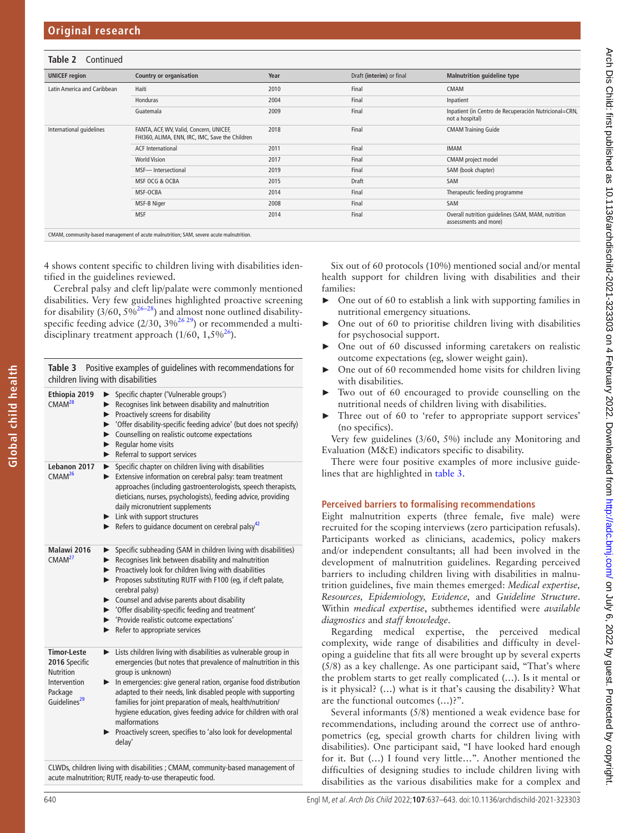## **Table 2** Continued

| <b>UNICEF</b> region        | <b>Country or organisation</b>                                                             | Year | Draft (interim) or final | <b>Malnutrition quideline type</b>                                         |
|-----------------------------|--------------------------------------------------------------------------------------------|------|--------------------------|----------------------------------------------------------------------------|
| Latin America and Caribbean | Haiti                                                                                      | 2010 | Final                    | CMAM                                                                       |
|                             | Honduras                                                                                   | 2004 | Final                    | Inpatient                                                                  |
|                             | Guatemala                                                                                  | 2009 | Final                    | Inpatient (in Centro de Recuperación Nutricional=CRN,<br>not a hospital)   |
| International quidelines    | FANTA, ACF, WV, Valid, Concern, UNICEF,<br>FHI360, ALIMA, ENN, IRC, IMC, Save the Children | 2018 | Final                    | <b>CMAM Training Guide</b>                                                 |
|                             | <b>ACF</b> International                                                                   | 2011 | Final                    | <b>IMAM</b>                                                                |
|                             | <b>World Vision</b>                                                                        | 2017 | Final                    | CMAM project model                                                         |
|                             | MSF-Intersectional                                                                         | 2019 | Final                    | SAM (book chapter)                                                         |
|                             | MSF OCG & OCBA                                                                             | 2015 | Draft                    | SAM                                                                        |
|                             | MSF-OCBA                                                                                   | 2014 | Final                    | Therapeutic feeding programme                                              |
|                             | MSF-B Niger                                                                                | 2008 | Final                    | SAM                                                                        |
|                             | <b>MSF</b>                                                                                 | 2014 | Final                    | Overall nutrition quidelines (SAM, MAM, nutrition<br>assessments and more) |
|                             |                                                                                            |      |                          |                                                                            |

CMAM, community-based management of acute malnutrition; SAM, severe acute malnutrition.

4 shows content specific to children living with disabilities identified in the guidelines reviewed.

Cerebral palsy and cleft lip/palate were commonly mentioned disabilities. Very few guidelines highlighted proactive screening for disability  $(3/60, 5\sqrt{2^{6-28}})$  and almost none outlined disabilityspecific feeding advice  $(2/30, 3\%^{26\,29})$  or recommended a multidisciplinary treatment approach  $(1/60, 1,5\%^{26})$  $(1/60, 1,5\%^{26})$  $(1/60, 1,5\%^{26})$ .

<span id="page-3-0"></span>

| Table 3                                                                                                        | Positive examples of guidelines with recommendations for<br>children living with disabilities                                                                                                                                                                                                                                                                                                                                                                                                                        |
|----------------------------------------------------------------------------------------------------------------|----------------------------------------------------------------------------------------------------------------------------------------------------------------------------------------------------------------------------------------------------------------------------------------------------------------------------------------------------------------------------------------------------------------------------------------------------------------------------------------------------------------------|
| Ethiopia 2019<br>CMAM <sup>28</sup>                                                                            | > Specific chapter ('Vulnerable groups')<br>Recognises link between disability and malnutrition<br>Proactively screens for disability<br>> 'Offer disability-specific feeding advice' (but does not specify)<br>▶ Counselling on realistic outcome expectations<br>$\blacktriangleright$ Regular home visits<br>Referral to support services                                                                                                                                                                         |
| Lebanon 2017<br>CMAM <sup>26</sup>                                                                             | > Specific chapter on children living with disabilities<br>Extensive information on cerebral palsy: team treatment<br>approaches (including gastroenterologists, speech therapists,<br>dieticians, nurses, psychologists), feeding advice, providing<br>daily micronutrient supplements<br>Link with support structures<br>Refers to guidance document on cerebral palsy $42$                                                                                                                                        |
| Malawi 2016<br>CMAM <sup>27</sup>                                                                              | Specific subheading (SAM in children living with disabilities)<br>▶<br>Recognises link between disability and malnutrition<br>►<br>Proactively look for children living with disabilities<br>Proposes substituting RUTF with F100 (eg, if cleft palate,<br>cerebral palsy)<br>Counsel and advise parents about disability<br>> 'Offer disability-specific feeding and treatment'<br>▶ 'Provide realistic outcome expectations'<br>$\blacktriangleright$ Refer to appropriate services                                |
| <b>Timor-Leste</b><br>2016 Specific<br><b>Nutrition</b><br>Intervention<br>Package<br>Guidelines <sup>29</sup> | Eists children living with disabilities as vulnerable group in<br>emergencies (but notes that prevalence of malnutrition in this<br>group is unknown)<br>In emergencies: give general ration, organise food distribution<br>adapted to their needs, link disabled people with supporting<br>families for joint preparation of meals, health/nutrition/<br>hygiene education, gives feeding advice for children with oral<br>malformations<br>Proactively screen, specifies to 'also look for developmental<br>delay' |

CLWDs, children living with disabilities ; CMAM, community-based management of acute malnutrition; RUTF, ready-to-use therapeutic food.

Six out of 60 protocols (10%) mentioned social and/or mental health support for children living with disabilities and their families:

- ► One out of 60 to establish a link with supporting families in nutritional emergency situations.
- One out of 60 to prioritise children living with disabilities for psychosocial support.
- One out of 60 discussed informing caretakers on realistic outcome expectations (eg, slower weight gain).
- One out of 60 recommended home visits for children living with disabilities.
- Two out of 60 encouraged to provide counselling on the nutritional needs of children living with disabilities.
- Three out of 60 to 'refer to appropriate support services' (no specifics).

Very few guidelines (3/60, 5%) include any Monitoring and Evaluation (M&E) indicators specific to disability.

There were four positive examples of more inclusive guidelines that are highlighted in [table](#page-3-0) 3.

# **Perceived barriers to formalising recommendations**

Eight malnutrition experts (three female, five male) were recruited for the scoping interviews (zero participation refusals). Participants worked as clinicians, academics, policy makers and/or independent consultants; all had been involved in the development of malnutrition guidelines. Regarding perceived barriers to including children living with disabilities in malnutrition guidelines, five main themes emerged: *Medical expertise, Resources, Epidemiology, Evidence,* and *Guideline Structure*. Within *medical expertise*, subthemes identified were *available diagnostics* and *staff knowledge*.

Regarding medical expertise, the perceived medical complexity, wide range of disabilities and difficulty in developing a guideline that fits all were brought up by several experts (5/8) as a key challenge. As one participant said, "That's where the problem starts to get really complicated (…). Is it mental or is it physical? (…) what is it that's causing the disability? What are the functional outcomes (…)?".

Several informants (5/8) mentioned a weak evidence base for recommendations, including around the correct use of anthropometrics (eg*,* special growth charts for children living with disabilities). One participant said, "I have looked hard enough for it. But (…) I found very little…". Another mentioned the difficulties of designing studies to include children living with disabilities as the various disabilities make for a complex and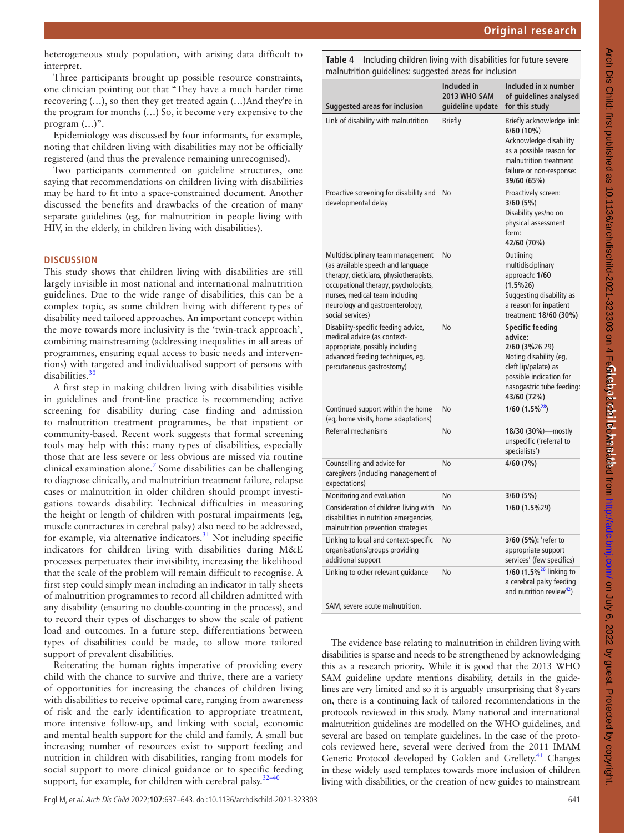Arch Dis Child: first published as 10.1136/archdischild-2021-323303 on 4 Fe6lchpaloral Lo Manual and hip://adc.brun.com/ on July 6, 2022 by guest. Protected by copyright Arch Dis Child: first published as 10.1136/archdischild-2021-323303 on 4 F**ebruary 2021 Downloaded fro**m Intp://adc.bmj.com/ on July 6, 2022 by guest. Protected by copyright. **Global child health**

heterogeneous study population, with arising data difficult to interpret.

Three participants brought up possible resource constraints, one clinician pointing out that "They have a much harder time recovering (…), so then they get treated again (…)And they're in the program for months (…) So, it become very expensive to the program (…)".

Epidemiology was discussed by four informants, for example, noting that children living with disabilities may not be officially registered (and thus the prevalence remaining unrecognised).

Two participants commented on guideline structures, one saying that recommendations on children living with disabilities may be hard to fit into a space-constrained document. Another discussed the benefits and drawbacks of the creation of many separate guidelines (eg, for malnutrition in people living with HIV, in the elderly, in children living with disabilities).

### **DISCUSSION**

This study shows that children living with disabilities are still largely invisible in most national and international malnutrition guidelines. Due to the wide range of disabilities, this can be a complex topic, as some children living with different types of disability need tailored approaches. An important concept within the move towards more inclusivity is the 'twin-track approach', combining mainstreaming (addressing inequalities in all areas of programmes, ensuring equal access to basic needs and interventions) with targeted and individualised support of persons with disabilities.[30](#page-6-5)

A first step in making children living with disabilities visible in guidelines and front-line practice is recommending active screening for disability during case finding and admission to malnutrition treatment programmes, be that inpatient or community-based. Recent work suggests that formal screening tools may help with this: many types of disabilities, especially those that are less severe or less obvious are missed via routine clinical examination alone.<sup>[7](#page-5-5)</sup> Some disabilities can be challenging to diagnose clinically, and malnutrition treatment failure, relapse cases or malnutrition in older children should prompt investigations towards disability. Technical difficulties in measuring the height or length of children with postural impairments (eg, muscle contractures in cerebral palsy) also need to be addressed, for example, via alternative indicators.<sup>31</sup> Not including specific indicators for children living with disabilities during M&E processes perpetuates their invisibility, increasing the likelihood that the scale of the problem will remain difficult to recognise. A first step could simply mean including an indicator in tally sheets of malnutrition programmes to record all children admitted with any disability (ensuring no double-counting in the process), and to record their types of discharges to show the scale of patient load and outcomes. In a future step, differentiations between types of disabilities could be made, to allow more tailored support of prevalent disabilities.

Reiterating the human rights imperative of providing every child with the chance to survive and thrive, there are a variety of opportunities for increasing the chances of children living with disabilities to receive optimal care, ranging from awareness of risk and the early identification to appropriate treatment, more intensive follow-up, and linking with social, economic and mental health support for the child and family. A small but increasing number of resources exist to support feeding and nutrition in children with disabilities, ranging from models for social support to more clinical guidance or to specific feeding support, for example, for children with cerebral palsy. $32-40$ 

<span id="page-4-0"></span>**Table 4** Including children living with disabilities for future severe malnutrition guidelines: suggested areas for inclusion

| <b>Suggested areas for inclusion</b>                                                                                                                                                                                                              | Included in<br>2013 WHO SAM<br>guideline update | Included in <b>x</b> number<br>of guidelines analysed<br>for this study                                                                                                       |
|---------------------------------------------------------------------------------------------------------------------------------------------------------------------------------------------------------------------------------------------------|-------------------------------------------------|-------------------------------------------------------------------------------------------------------------------------------------------------------------------------------|
| Link of disability with malnutrition                                                                                                                                                                                                              | <b>Briefly</b>                                  | Briefly acknowledge link:<br>6/60 (10%)<br>Acknowledge disability<br>as a possible reason for<br>malnutrition treatment<br>failure or non-response:<br>39/60 (65%)            |
| Proactive screening for disability and<br>developmental delay                                                                                                                                                                                     | No                                              | Proactively screen:<br>3/60(5%)<br>Disability yes/no on<br>physical assessment<br>form:<br>42/60 (70%)                                                                        |
| Multidisciplinary team management<br>(as available speech and language<br>therapy, dieticians, physiotherapists,<br>occupational therapy, psychologists,<br>nurses, medical team including<br>neurology and gastroenterology,<br>social services) | No                                              | Outlining<br>multidisciplinary<br>approach: 1/60<br>$(1.5\%26)$<br>Suggesting disability as<br>a reason for inpatient<br>treatment: 18/60 (30%)                               |
| Disability-specific feeding advice,<br>medical advice (as context-<br>appropriate, possibly including<br>advanced feeding techniques, eg,<br>percutaneous gastrostomy)                                                                            | No                                              | <b>Specific feeding</b><br>advice:<br>2/60 (3%26 29)<br>Noting disability (eg,<br>cleft lip/palate) as<br>possible indication for<br>nasogastric tube feeding:<br>43/60 (72%) |
| Continued support within the home<br>(eg, home visits, home adaptations)                                                                                                                                                                          | No                                              | $1/60$ $(1.5\%^{28})$                                                                                                                                                         |
| Referral mechanisms                                                                                                                                                                                                                               | No                                              | 18/30 (30%)-mostly<br>unspecific ('referral to<br>specialists')                                                                                                               |
| Counselling and advice for<br>caregivers (including management of<br>expectations)                                                                                                                                                                | No                                              | 4/60 (7%)                                                                                                                                                                     |
| Monitoring and evaluation                                                                                                                                                                                                                         | No                                              | 3/60(5%)                                                                                                                                                                      |
| Consideration of children living with<br>disabilities in nutrition emergencies,<br>malnutrition prevention strategies                                                                                                                             | No                                              | 1/60 (1.5%29)                                                                                                                                                                 |
| Linking to local and context-specific<br>organisations/groups providing<br>additional support                                                                                                                                                     | No                                              | 3/60 (5%): 'refer to<br>appropriate support<br>services' (few specifics)                                                                                                      |
| Linking to other relevant quidance                                                                                                                                                                                                                | No                                              | 1/60 (1.5% <sup>26</sup> linking to<br>a cerebral palsy feeding<br>and nutrition review <sup>42</sup> )                                                                       |
| SAM, severe acute malnutrition.                                                                                                                                                                                                                   |                                                 |                                                                                                                                                                               |

The evidence base relating to malnutrition in children living with disabilities is sparse and needs to be strengthened by acknowledging this as a research priority. While it is good that the 2013 WHO SAM guideline update mentions disability, details in the guidelines are very limited and so it is arguably unsurprising that 8years on, there is a continuing lack of tailored recommendations in the protocols reviewed in this study. Many national and international malnutrition guidelines are modelled on the WHO guidelines, and several are based on template guidelines. In the case of the protocols reviewed here, several were derived from the 2011 IMAM Generic Protocol developed by Golden and Grellety.<sup>41</sup> Changes in these widely used templates towards more inclusion of children living with disabilities, or the creation of new guides to mainstream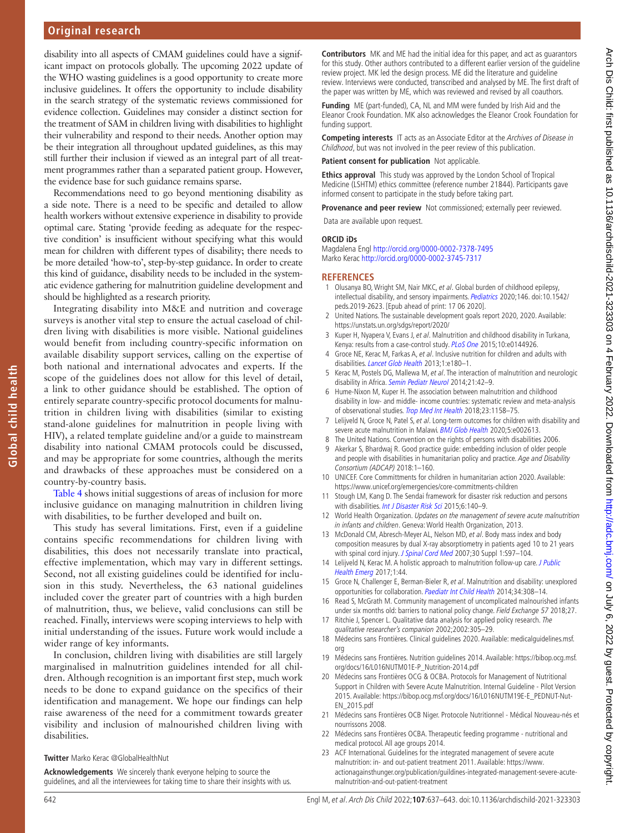# **Original research**

disability into all aspects of CMAM guidelines could have a significant impact on protocols globally. The upcoming 2022 update of the WHO wasting guidelines is a good opportunity to create more inclusive guidelines. It offers the opportunity to include disability in the search strategy of the systematic reviews commissioned for evidence collection. Guidelines may consider a distinct section for the treatment of SAM in children living with disabilities to highlight their vulnerability and respond to their needs. Another option may be their integration all throughout updated guidelines, as this may still further their inclusion if viewed as an integral part of all treatment programmes rather than a separated patient group. However, the evidence base for such guidance remains sparse.

Recommendations need to go beyond mentioning disability as a side note. There is a need to be specific and detailed to allow health workers without extensive experience in disability to provide optimal care. Stating 'provide feeding as adequate for the respective condition' is insufficient without specifying what this would mean for children with different types of disability; there needs to be more detailed 'how-to', step-by-step guidance. In order to create this kind of guidance, disability needs to be included in the systematic evidence gathering for malnutrition guideline development and should be highlighted as a research priority.

Integrating disability into M&E and nutrition and coverage surveys is another vital step to ensure the actual caseload of children living with disabilities is more visible. National guidelines would benefit from including country-specific information on available disability support services, calling on the expertise of both national and international advocates and experts. If the scope of the guidelines does not allow for this level of detail, a link to other guidance should be established. The option of entirely separate country-specific protocol documents for malnutrition in children living with disabilities (similar to existing stand-alone guidelines for malnutrition in people living with HIV), a related template guideline and/or a guide to mainstream disability into national CMAM protocols could be discussed, and may be appropriate for some countries, although the merits and drawbacks of these approaches must be considered on a country-by-country basis.

[Table](#page-4-0) 4 shows initial suggestions of areas of inclusion for more inclusive guidance on managing malnutrition in children living with disabilities, to be further developed and built on.

This study has several limitations. First, even if a guideline contains specific recommendations for children living with disabilities, this does not necessarily translate into practical, effective implementation, which may vary in different settings. Second, not all existing guidelines could be identified for inclusion in this study. Nevertheless, the 63 national guidelines included cover the greater part of countries with a high burden of malnutrition, thus, we believe, valid conclusions can still be reached. Finally, interviews were scoping interviews to help with initial understanding of the issues. Future work would include a wider range of key informants.

In conclusion, children living with disabilities are still largely marginalised in malnutrition guidelines intended for all children. Although recognition is an important first step, much work needs to be done to expand guidance on the specifics of their identification and management. We hope our findings can help raise awareness of the need for a commitment towards greater visibility and inclusion of malnourished children living with disabilities.

#### **Twitter** Marko Kerac [@GlobalHealthNut](https://twitter.com/GlobalHealthNut)

**Acknowledgements** We sincerely thank everyone helping to source the guidelines, and all the interviewees for taking time to share their insights with us.

**Contributors** MK and ME had the initial idea for this paper, and act as guarantors for this study. Other authors contributed to a different earlier version of the guideline review project. MK led the design process. ME did the literature and guideline review. Interviews were conducted, transcribed and analysed by ME. The first draft of the paper was written by ME, which was reviewed and revised by all coauthors.

**Funding** ME (part-funded), CA, NL and MM were funded by Irish Aid and the Eleanor Crook Foundation. MK also acknowledges the Eleanor Crook Foundation for funding support.

**Competing interests** IT acts as an Associate Editor at the Archives of Disease in Childhood, but was not involved in the peer review of this publication.

**Patient consent for publication** Not applicable.

**Ethics approval** This study was approved by the London School of Tropical Medicine (LSHTM) ethics committee (reference number 21844). Participants gave informed consent to participate in the study before taking part.

**Provenance and peer review** Not commissioned; externally peer reviewed.

#### Data are available upon request.

**ORCID iDs**

Magdalena Engl <http://orcid.org/0000-0002-7378-7495> Marko Kerac <http://orcid.org/0000-0002-3745-7317>

#### **REFERENCES**

- <span id="page-5-0"></span>1 Olusanya BO, Wright SM, Nair MKC, et al. Global burden of childhood epilepsy, intellectual disability, and sensory impairments. [Pediatrics](http://dx.doi.org/10.1542/peds.2019-2623) 2020;146. doi:10.1542/ peds.2019-2623. [Epub ahead of print: 17 06 2020].
- <span id="page-5-1"></span>2 United Nations. The sustainable development goals report 2020, 2020. Available: <https://unstats.un.org/sdgs/report/2020/>
- <span id="page-5-2"></span>3 Kuper H, Nyapera V, Evans J, et al. Malnutrition and childhood disability in Turkana, Kenya: results from a case-control study. [PLoS One](http://dx.doi.org/10.1371/journal.pone.0144926) 2015;10:e0144926.
- <span id="page-5-10"></span>4 Groce NE, Kerac M, Farkas A, et al. Inclusive nutrition for children and adults with disabilities. [Lancet Glob Health](http://dx.doi.org/10.1016/S2214-109X(13)70056-1) 2013;1:e180-1.
- <span id="page-5-3"></span>5 Kerac M, Postels DG, Mallewa M, et al. The interaction of malnutrition and neurologic disability in Africa. [Semin Pediatr Neurol](http://dx.doi.org/10.1016/j.spen.2014.01.003) 2014;21:42-9.
- <span id="page-5-4"></span>6 Hume-Nixon M, Kuper H. The association between malnutrition and childhood disability in low- and middle- income countries: systematic review and meta-analysis of observational studies. [Trop Med Int Health](http://dx.doi.org/10.1111/tmi.13139) 2018;23:1158-75.
- <span id="page-5-5"></span>7 Lelijveld N, Groce N, Patel S, et al. Long-term outcomes for children with disability and severe acute malnutrition in Malawi. [BMJ Glob Health](http://dx.doi.org/10.1136/bmjgh-2020-002613) 2020;5:e002613.
- 8 The United Nations. Convention on the rights of persons with disabilities 2006.
- <span id="page-5-6"></span>9 Akerkar S, Bhardwaj R. Good practice guide: embedding inclusion of older people and people with disabilities in humanitarian policy and practice. Age and Disability Consortium (ADCAP) 2018:1–160.
- 10 UNICEF. Core Committments for children in humanitarian action 2020. Available: <https://www.unicef.org/emergencies/core-commitments-children>
- 11 Stough LM, Kang D. The Sendai framework for disaster risk reduction and persons with disabilities. [Int J Disaster Risk Sci](http://dx.doi.org/10.1007/s13753-015-0051-8) 2015;6:140-9.
- <span id="page-5-7"></span>12 World Health Organization. Updates on the management of severe acute malnutrition in infants and children. Geneva: World Health Organization, 2013.
- <span id="page-5-8"></span>13 McDonald CM, Abresch-Meyer AL, Nelson MD, et al. Body mass index and body composition measures by dual X-ray absorptiometry in patients aged 10 to 21 years with spinal cord injury. [J Spinal Cord Med](http://dx.doi.org/10.1080/10790268.2007.11754612) 2007;30 Suppl 1:S97-104.
- <span id="page-5-9"></span>14 Lelijveld N, Kerac M. A holistic approach to malnutrition follow-up care. J Public [Health Emerg](http://dx.doi.org/10.21037/jphe.2017.03.11) 2017;1:44.
- <span id="page-5-11"></span>15 Groce N, Challenger E, Berman-Bieler R, et al. Malnutrition and disability: unexplored opportunities for collaboration. [Paediatr Int Child Health](http://dx.doi.org/10.1179/2046905514Y.0000000156) 2014;34:308–14.
- <span id="page-5-12"></span>16 Read S, McGrath M. Community management of uncomplicated malnourished infants under six months old: barriers to national policy change. Field Exchange 57 2018;27.
- <span id="page-5-13"></span>17 Ritchie J, Spencer L. Qualitative data analysis for applied policy research. The qualitative researcher's companion 2002;2002:305–29.
- <span id="page-5-14"></span>18 Médecins sans Frontières. Clinical guidelines 2020. Available: [medicalguidelines.msf.](medicalguidelines.msf.org) [org](medicalguidelines.msf.org)
- 19 Médecins sans Frontières. Nutrition guidelines 2014. Available: [https://bibop.ocg.msf.](https://bibop.ocg.msf.org/docs/16/L016NUTM01E-P_Nutrition-2014.pdf) [org/docs/16/L016NUTM01E-P\\_Nutrition-2014.pdf](https://bibop.ocg.msf.org/docs/16/L016NUTM01E-P_Nutrition-2014.pdf)
- 20 Médecins sans Frontières OCG & OCBA. Protocols for Management of Nutritional Support in Children with Severe Acute Malnutrition. Internal Guideline - Pilot Version 2015. Available: [https://bibop.ocg.msf.org/docs/16/L016NUTM19E-E\\_PEDNUT-Nut-](https://bibop.ocg.msf.org/docs/16/L016NUTM19E-E_PEDNUT-Nut-EN_2015.pdf)[EN\\_2015.pdf](https://bibop.ocg.msf.org/docs/16/L016NUTM19E-E_PEDNUT-Nut-EN_2015.pdf)
- 21 Médecins sans Frontières OCB Niger. Protocole Nutritionnel Médical Nouveau-nés et nourrissons 2008.
- 22 Médecins sans Frontières OCBA. Therapeutic feeding programme nutritional and medical protocol. All age groups 2014.
- 23 ACF International. Guidelines for the integrated management of severe acute malnutrition: in- and out-patient treatment 2011. Available: [https://www.](https://www.actionagainsthunger.org/publication/guildines-integrated-management-severe-acute-malnutrition-and-out-patient-treatment) [actionagainsthunger.org/publication/guildines-integrated-management-severe-acute](https://www.actionagainsthunger.org/publication/guildines-integrated-management-severe-acute-malnutrition-and-out-patient-treatment)[malnutrition-and-out-patient-treatment](https://www.actionagainsthunger.org/publication/guildines-integrated-management-severe-acute-malnutrition-and-out-patient-treatment)